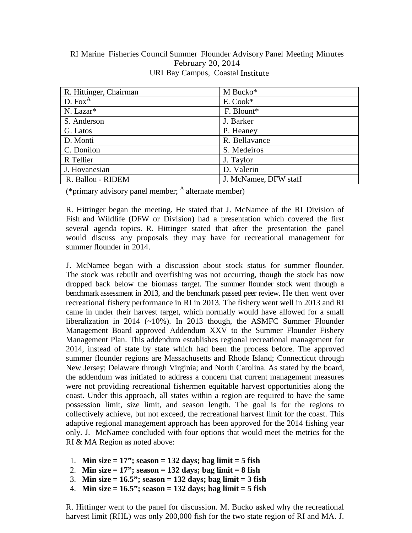## RI Marine Fisheries Council Summer Flounder Advisory Panel Meeting Minutes February 20, 2014 URI Bay Campus, Coastal Institute

| R. Hittinger, Chairman | M Bucko*              |
|------------------------|-----------------------|
| D. Fox <sup>A</sup>    | E. Cook*              |
| N. Lazar*              | F. Blount*            |
| S. Anderson            | J. Barker             |
| G. Latos               | P. Heaney             |
| D. Monti               | R. Bellavance         |
| C. Donilon             | S. Medeiros           |
| R Tellier              | J. Taylor             |
| J. Hovanesian          | D. Valerin            |
| R. Ballou - RIDEM      | J. McNamee, DFW staff |

(\*primary advisory panel member;  $^{\rm A}$  alternate member)

R. Hittinger began the meeting. He stated that J. McNamee of the RI Division of Fish and Wildlife (DFW or Division) had a presentation which covered the first several agenda topics. R. Hittinger stated that after the presentation the panel would discuss any proposals they may have for recreational management for summer flounder in 2014.

J. McNamee began with a discussion about stock status for summer flounder. The stock was rebuilt and overfishing was not occurring, though the stock has now dropped back below the biomass target. The summer flounder stock went through a benchmark assessment in 2013, and the benchmark passed peer review. He then went over recreational fishery performance in RI in 2013. The fishery went well in 2013 and RI came in under their harvest target, which normally would have allowed for a small liberalization in 2014 ( $\sim$ 10%). In 2013 though, the ASMFC Summer Flounder Management Board approved Addendum XXV to the Summer Flounder Fishery Management Plan. This addendum establishes regional recreational management for 2014, instead of state by state which had been the process before. The approved summer flounder regions are Massachusetts and Rhode Island; Connecticut through New Jersey; Delaware through Virginia; and North Carolina. As stated by the board, the addendum was initiated to address a concern that current management measures were not providing recreational fishermen equitable harvest opportunities along the coast. Under this approach, all states within a region are required to have the same possession limit, size limit, and season length. The goal is for the regions to collectively achieve, but not exceed, the recreational harvest limit for the coast. This adaptive regional management approach has been approved for the 2014 fishing year only. J. McNamee concluded with four options that would meet the metrics for the RI & MA Region as noted above:

- 1. **Min size = 17"; season = 132 days; bag limit = 5 fish**
- 2. **Min size = 17"; season = 132 days; bag limit = 8 fish**
- 3. **Min size = 16.5"; season = 132 days; bag limit = 3 fish**
- 4. **Min size = 16.5"; season = 132 days; bag limit = 5 fish**

R. Hittinger went to the panel for discussion. M. Bucko asked why the recreational harvest limit (RHL) was only 200,000 fish for the two state region of RI and MA. J.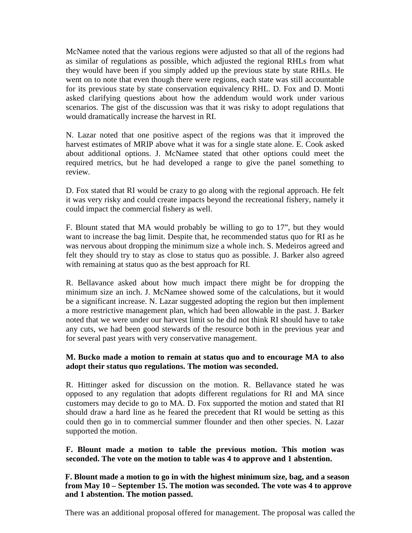McNamee noted that the various regions were adjusted so that all of the regions had as similar of regulations as possible, which adjusted the regional RHLs from what they would have been if you simply added up the previous state by state RHLs. He went on to note that even though there were regions, each state was still accountable for its previous state by state conservation equivalency RHL. D. Fox and D. Monti asked clarifying questions about how the addendum would work under various scenarios. The gist of the discussion was that it was risky to adopt regulations that would dramatically increase the harvest in RI.

N. Lazar noted that one positive aspect of the regions was that it improved the harvest estimates of MRIP above what it was for a single state alone. E. Cook asked about additional options. J. McNamee stated that other options could meet the required metrics, but he had developed a range to give the panel something to review.

D. Fox stated that RI would be crazy to go along with the regional approach. He felt it was very risky and could create impacts beyond the recreational fishery, namely it could impact the commercial fishery as well.

F. Blount stated that MA would probably be willing to go to 17", but they would want to increase the bag limit. Despite that, he recommended status quo for RI as he was nervous about dropping the minimum size a whole inch. S. Medeiros agreed and felt they should try to stay as close to status quo as possible. J. Barker also agreed with remaining at status quo as the best approach for RI.

R. Bellavance asked about how much impact there might be for dropping the minimum size an inch. J. McNamee showed some of the calculations, but it would be a significant increase. N. Lazar suggested adopting the region but then implement a more restrictive management plan, which had been allowable in the past. J. Barker noted that we were under our harvest limit so he did not think RI should have to take any cuts, we had been good stewards of the resource both in the previous year and for several past years with very conservative management.

## **M. Bucko made a motion to remain at status quo and to encourage MA to also adopt their status quo regulations. The motion was seconded.**

R. Hittinger asked for discussion on the motion. R. Bellavance stated he was opposed to any regulation that adopts different regulations for RI and MA since customers may decide to go to MA. D. Fox supported the motion and stated that RI should draw a hard line as he feared the precedent that RI would be setting as this could then go in to commercial summer flounder and then other species. N. Lazar supported the motion.

**F. Blount made a motion to table the previous motion. This motion was seconded. The vote on the motion to table was 4 to approve and 1 abstention.** 

**F. Blount made a motion to go in with the highest minimum size, bag, and a season from May 10 – September 15. The motion was seconded. The vote was 4 to approve and 1 abstention. The motion passed.**